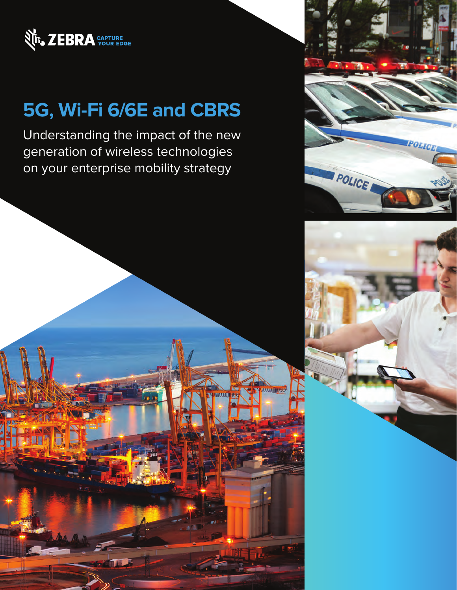

# **5G, Wi-Fi 6/6E and CBRS**

Understanding the impact of the new generation of wireless technologies on your enterprise mobility strategy





**WWWITHTON** 

**MANUJITY**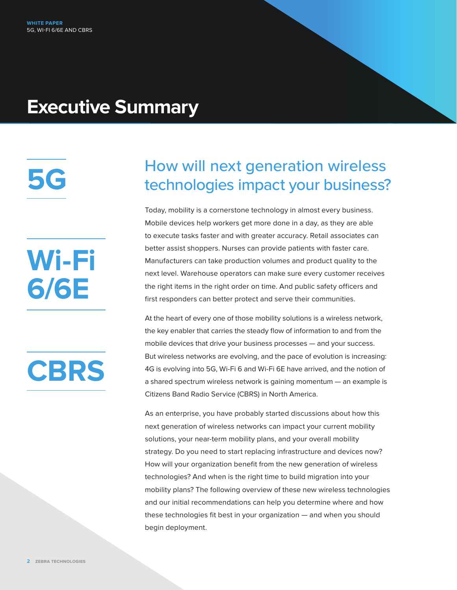# **Executive Summary**

**5G**

# **Wi-Fi 6/6E**



## How will next generation wireless technologies impact your business?

Today, mobility is a cornerstone technology in almost every business. Mobile devices help workers get more done in a day, as they are able to execute tasks faster and with greater accuracy. Retail associates can better assist shoppers. Nurses can provide patients with faster care. Manufacturers can take production volumes and product quality to the next level. Warehouse operators can make sure every customer receives the right items in the right order on time. And public safety officers and first responders can better protect and serve their communities.

At the heart of every one of those mobility solutions is a wireless network, the key enabler that carries the steady flow of information to and from the mobile devices that drive your business processes — and your success. But wireless networks are evolving, and the pace of evolution is increasing: 4G is evolving into 5G, Wi-Fi 6 and Wi-Fi 6E have arrived, and the notion of a shared spectrum wireless network is gaining momentum — an example is Citizens Band Radio Service (CBRS) in North America.

As an enterprise, you have probably started discussions about how this next generation of wireless networks can impact your current mobility solutions, your near-term mobility plans, and your overall mobility strategy. Do you need to start replacing infrastructure and devices now? How will your organization benefit from the new generation of wireless technologies? And when is the right time to build migration into your mobility plans? The following overview of these new wireless technologies and our initial recommendations can help you determine where and how these technologies fit best in your organization — and when you should begin deployment.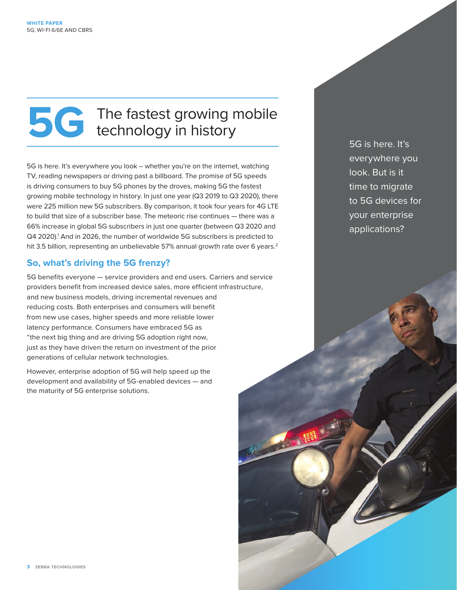# **5G** The fastest growing mobile<br>technology in history technology in history

5G is here. It's everywhere you look – whether you're on the internet, watching TV, reading newspapers or driving past a billboard. The promise of 5G speeds is driving consumers to buy 5G phones by the droves, making 5G the fastest growing mobile technology in history. In just one year (Q3 2019 to Q3 2020), there were 225 million new 5G subscribers. By comparison, it took four years for 4G LTE to build that size of a subscriber base. The meteoric rise continues — there was a 66% increase in global 5G subscribers in just one quarter (between Q3 2020 and Q4 2020).<sup>1</sup> And in 2026, the number of worldwide 5G subscribers is predicted to hit 3.5 billion, representing an unbelievable 57% annual growth rate over 6 years.<sup>2</sup>

#### **So, what's driving the 5G frenzy?**

5G benefits everyone — service providers and end users. Carriers and service providers benefit from increased device sales, more efficient infrastructure, and new business models, driving incremental revenues and reducing costs. Both enterprises and consumers will benefit from new use cases, higher speeds and more reliable lower latency performance. Consumers have embraced 5G as "the next big thing and are driving 5G adoption right now, just as they have driven the return on investment of the prior generations of cellular network technologies.

However, enterprise adoption of 5G will help speed up the development and availability of 5G-enabled devices — and the maturity of 5G enterprise solutions.

5G is here. It's everywhere you look. But is it time to migrate to 5G devices for your enterprise applications?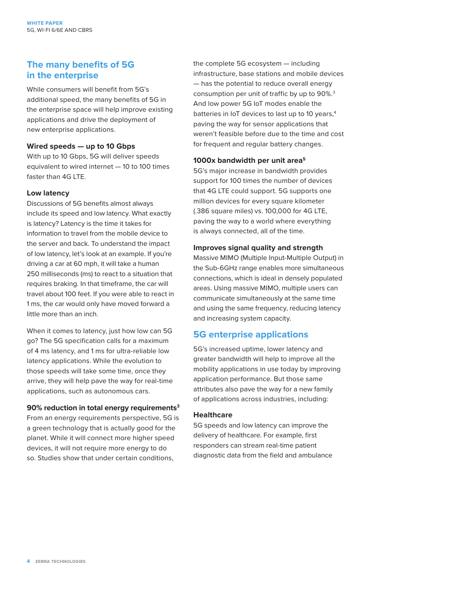#### **The many benefits of 5G in the enterprise**

While consumers will benefit from 5G's additional speed, the many benefits of 5G in the enterprise space will help improve existing applications and drive the deployment of new enterprise applications.

#### **Wired speeds — up to 10 Gbps**

With up to 10 Gbps, 5G will deliver speeds equivalent to wired internet — 10 to 100 times faster than 4G LTE.

#### **Low latency**

Discussions of 5G benefits almost always include its speed and low latency. What exactly is latency? Latency is the time it takes for information to travel from the mobile device to the server and back. To understand the impact of low latency, let's look at an example. If you're driving a car at 60 mph, it will take a human 250 milliseconds (ms) to react to a situation that requires braking. In that timeframe, the car will travel about 100 feet. If you were able to react in 1 ms, the car would only have moved forward a little more than an inch.

When it comes to latency, just how low can 5G go? The 5G specification calls for a maximum of 4 ms latency, and 1 ms for ultra-reliable low latency applications. While the evolution to those speeds will take some time, once they arrive, they will help pave the way for real-time applications, such as autonomous cars.

#### **90% reduction in total energy requirements3**

From an energy requirements perspective, 5G is a green technology that is actually good for the planet. While it will connect more higher speed devices, it will not require more energy to do so. Studies show that under certain conditions,

the complete 5G ecosystem — including infrastructure, base stations and mobile devices — has the potential to reduce overall energy consumption per unit of traffic by up to 90%.3 And low power 5G IoT modes enable the batteries in IoT devices to last up to 10 years,<sup>4</sup> paving the way for sensor applications that weren't feasible before due to the time and cost for frequent and regular battery changes.

#### **1000x bandwidth per unit area5**

5G's major increase in bandwidth provides support for 100 times the number of devices that 4G LTE could support. 5G supports one million devices for every square kilometer (.386 square miles) vs. 100,000 for 4G LTE, paving the way to a world where everything is always connected, all of the time.

#### **Improves signal quality and strength**

Massive MIMO (Multiple Input-Multiple Output) in the Sub-6GHz range enables more simultaneous connections, which is ideal in densely populated areas. Using massive MIMO, multiple users can communicate simultaneously at the same time and using the same frequency, reducing latency and increasing system capacity.

#### **5G enterprise applications**

5G's increased uptime, lower latency and greater bandwidth will help to improve all the mobility applications in use today by improving application performance. But those same attributes also pave the way for a new family of applications across industries, including:

#### **Healthcare**

5G speeds and low latency can improve the delivery of healthcare. For example, first responders can stream real-time patient diagnostic data from the field and ambulance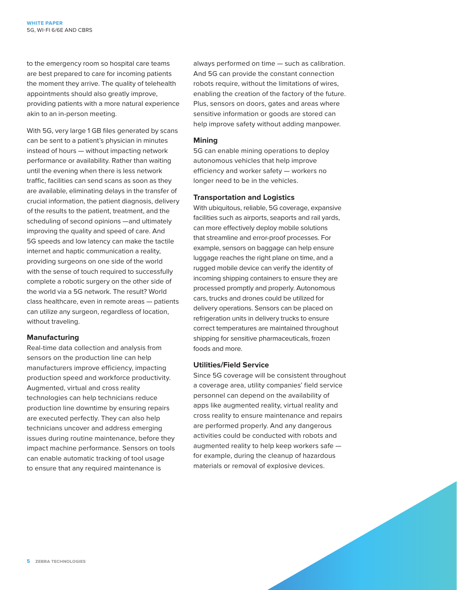to the emergency room so hospital care teams are best prepared to care for incoming patients the moment they arrive. The quality of telehealth appointments should also greatly improve, providing patients with a more natural experience akin to an in-person meeting.

With 5G, very large 1 GB files generated by scans can be sent to a patient's physician in minutes instead of hours — without impacting network performance or availability. Rather than waiting until the evening when there is less network traffic, facilities can send scans as soon as they are available, eliminating delays in the transfer of crucial information, the patient diagnosis, delivery of the results to the patient, treatment, and the scheduling of second opinions —and ultimately improving the quality and speed of care. And 5G speeds and low latency can make the tactile internet and haptic communication a reality, providing surgeons on one side of the world with the sense of touch required to successfully complete a robotic surgery on the other side of the world via a 5G network. The result? World class healthcare, even in remote areas — patients can utilize any surgeon, regardless of location, without traveling.

#### **Manufacturing**

Real-time data collection and analysis from sensors on the production line can help manufacturers improve efficiency, impacting production speed and workforce productivity. Augmented, virtual and cross reality technologies can help technicians reduce production line downtime by ensuring repairs are executed perfectly. They can also help technicians uncover and address emerging issues during routine maintenance, before they impact machine performance. Sensors on tools can enable automatic tracking of tool usage to ensure that any required maintenance is

always performed on time — such as calibration. And 5G can provide the constant connection robots require, without the limitations of wires, enabling the creation of the factory of the future. Plus, sensors on doors, gates and areas where sensitive information or goods are stored can help improve safety without adding manpower.

#### **Mining**

5G can enable mining operations to deploy autonomous vehicles that help improve efficiency and worker safety — workers no longer need to be in the vehicles.

#### **Transportation and Logistics**

With ubiquitous, reliable, 5G coverage, expansive facilities such as airports, seaports and rail yards, can more effectively deploy mobile solutions that streamline and error-proof processes. For example, sensors on baggage can help ensure luggage reaches the right plane on time, and a rugged mobile device can verify the identity of incoming shipping containers to ensure they are processed promptly and properly. Autonomous cars, trucks and drones could be utilized for delivery operations. Sensors can be placed on refrigeration units in delivery trucks to ensure correct temperatures are maintained throughout shipping for sensitive pharmaceuticals, frozen foods and more.

#### **Utilities/Field Service**

Since 5G coverage will be consistent throughout a coverage area, utility companies' field service personnel can depend on the availability of apps like augmented reality, virtual reality and cross reality to ensure maintenance and repairs are performed properly. And any dangerous activities could be conducted with robots and augmented reality to help keep workers safe for example, during the cleanup of hazardous materials or removal of explosive devices.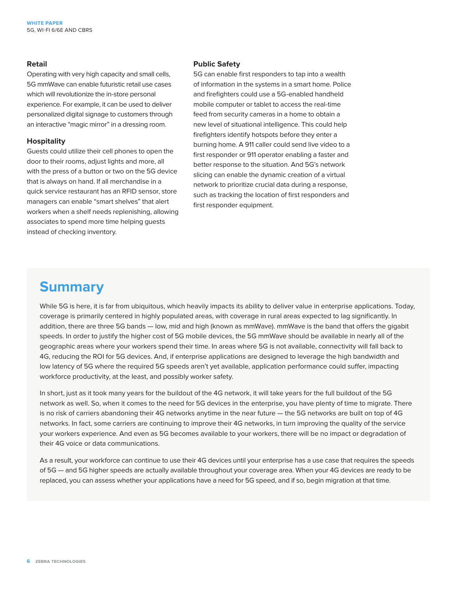#### **Retail**

Operating with very high capacity and small cells, 5G mmWave can enable futuristic retail use cases which will revolutionize the in-store personal experience. For example, it can be used to deliver personalized digital signage to customers through an interactive "magic mirror" in a dressing room.

#### **Hospitality**

Guests could utilize their cell phones to open the door to their rooms, adjust lights and more, all with the press of a button or two on the 5G device that is always on hand. If all merchandise in a quick service restaurant has an RFID sensor, store managers can enable "smart shelves" that alert workers when a shelf needs replenishing, allowing associates to spend more time helping guests instead of checking inventory.

#### **Public Safety**

5G can enable first responders to tap into a wealth of information in the systems in a smart home. Police and firefighters could use a 5G-enabled handheld mobile computer or tablet to access the real-time feed from security cameras in a home to obtain a new level of situational intelligence. This could help firefighters identify hotspots before they enter a burning home. A 911 caller could send live video to a first responder or 911 operator enabling a faster and better response to the situation. And 5G's network slicing can enable the dynamic creation of a virtual network to prioritize crucial data during a response, such as tracking the location of first responders and first responder equipment.

### **Summary**

While 5G is here, it is far from ubiquitous, which heavily impacts its ability to deliver value in enterprise applications. Today, coverage is primarily centered in highly populated areas, with coverage in rural areas expected to lag significantly. In addition, there are three 5G bands — low, mid and high (known as mmWave). mmWave is the band that offers the gigabit speeds. In order to justify the higher cost of 5G mobile devices, the 5G mmWave should be available in nearly all of the geographic areas where your workers spend their time. In areas where 5G is not available, connectivity will fall back to 4G, reducing the ROI for 5G devices. And, if enterprise applications are designed to leverage the high bandwidth and low latency of 5G where the required 5G speeds aren't yet available, application performance could suffer, impacting workforce productivity, at the least, and possibly worker safety.

In short, just as it took many years for the buildout of the 4G network, it will take years for the full buildout of the 5G network as well. So, when it comes to the need for 5G devices in the enterprise, you have plenty of time to migrate. There is no risk of carriers abandoning their 4G networks anytime in the near future — the 5G networks are built on top of 4G networks. In fact, some carriers are continuing to improve their 4G networks, in turn improving the quality of the service your workers experience. And even as 5G becomes available to your workers, there will be no impact or degradation of their 4G voice or data communications.

As a result, your workforce can continue to use their 4G devices until your enterprise has a use case that requires the speeds of 5G — and 5G higher speeds are actually available throughout your coverage area. When your 4G devices are ready to be replaced, you can assess whether your applications have a need for 5G speed, and if so, begin migration at that time.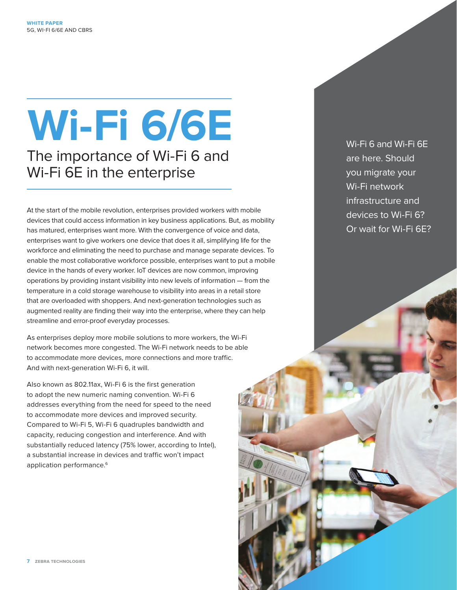# **Wi-Fi 6/6E** The importance of Wi-Fi 6 and

Wi-Fi 6E in the enterprise

At the start of the mobile revolution, enterprises provided workers with mobile devices that could access information in key business applications. But, as mobility has matured, enterprises want more. With the convergence of voice and data, enterprises want to give workers one device that does it all, simplifying life for the workforce and eliminating the need to purchase and manage separate devices. To enable the most collaborative workforce possible, enterprises want to put a mobile device in the hands of every worker. IoT devices are now common, improving operations by providing instant visibility into new levels of information — from the temperature in a cold storage warehouse to visibility into areas in a retail store that are overloaded with shoppers. And next-generation technologies such as augmented reality are finding their way into the enterprise, where they can help streamline and error-proof everyday processes.

As enterprises deploy more mobile solutions to more workers, the Wi-Fi network becomes more congested. The Wi-Fi network needs to be able to accommodate more devices, more connections and more traffic. And with next-generation Wi-Fi 6, it will.

Also known as 802.11ax, Wi-Fi 6 is the first generation to adopt the new numeric naming convention. Wi-Fi 6 addresses everything from the need for speed to the need to accommodate more devices and improved security. Compared to Wi-Fi 5, Wi-Fi 6 quadruples bandwidth and capacity, reducing congestion and interference. And with substantially reduced latency (75% lower, according to Intel), a substantial increase in devices and traffic won't impact application performance.<sup>6</sup>

Wi-Fi 6 and Wi-Fi 6E are here. Should you migrate your Wi-Fi network infrastructure and devices to Wi-Fi 6? Or wait for Wi-Fi 6E?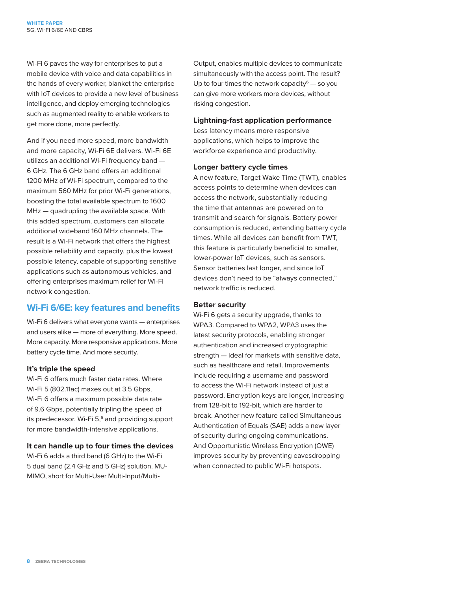Wi-Fi 6 paves the way for enterprises to put a mobile device with voice and data capabilities in the hands of every worker, blanket the enterprise with IoT devices to provide a new level of business intelligence, and deploy emerging technologies such as augmented reality to enable workers to get more done, more perfectly.

And if you need more speed, more bandwidth and more capacity, Wi-Fi 6E delivers. Wi-Fi 6E utilizes an additional Wi-Fi frequency band — 6 GHz. The 6 GHz band offers an additional 1200 MHz of Wi-Fi spectrum, compared to the maximum 560 MHz for prior Wi-Fi generations, boosting the total available spectrum to 1600 MHz — quadrupling the available space. With this added spectrum, customers can allocate additional wideband 160 MHz channels. The result is a Wi-Fi network that offers the highest possible reliability and capacity, plus the lowest possible latency, capable of supporting sensitive applications such as autonomous vehicles, and offering enterprises maximum relief for Wi-Fi network congestion.

#### **Wi-Fi 6/6E: key features and benefits**

Wi-Fi 6 delivers what everyone wants — enterprises and users alike — more of everything. More speed. More capacity. More responsive applications. More battery cycle time. And more security.

#### **It's triple the speed**

Wi-Fi 6 offers much faster data rates. Where Wi-Fi 5 (802.11ac) maxes out at 3.5 Gbps, Wi-Fi 6 offers a maximum possible data rate of 9.6 Gbps, potentially tripling the speed of its predecessor, Wi-Fi  $5<sup>6</sup>$  and providing support for more bandwidth-intensive applications.

#### **It can handle up to four times the devices**

Wi-Fi 6 adds a third band (6 GHz) to the Wi-Fi 5 dual band (2.4 GHz and 5 GHz) solution. MU-MIMO, short for Multi-User Multi-Input/MultiOutput, enables multiple devices to communicate simultaneously with the access point. The result? Up to four times the network capacity $\epsilon$  - so you can give more workers more devices, without risking congestion.

#### **Lightning-fast application performance**

Less latency means more responsive applications, which helps to improve the workforce experience and productivity.

#### **Longer battery cycle times**

A new feature, Target Wake Time (TWT), enables access points to determine when devices can access the network, substantially reducing the time that antennas are powered on to transmit and search for signals. Battery power consumption is reduced, extending battery cycle times. While all devices can benefit from TWT, this feature is particularly beneficial to smaller, lower-power IoT devices, such as sensors. Sensor batteries last longer, and since IoT devices don't need to be "always connected," network traffic is reduced.

#### **Better security**

Wi-Fi 6 gets a security upgrade, thanks to WPA3. Compared to WPA2, WPA3 uses the latest security protocols, enabling stronger authentication and increased cryptographic strength — ideal for markets with sensitive data, such as healthcare and retail. Improvements include requiring a username and password to access the Wi-Fi network instead of just a password. Encryption keys are longer, increasing from 128-bit to 192-bit, which are harder to break. Another new feature called Simultaneous Authentication of Equals (SAE) adds a new layer of security during ongoing communications. And Opportunistic Wireless Encryption (OWE) improves security by preventing eavesdropping when connected to public Wi-Fi hotspots.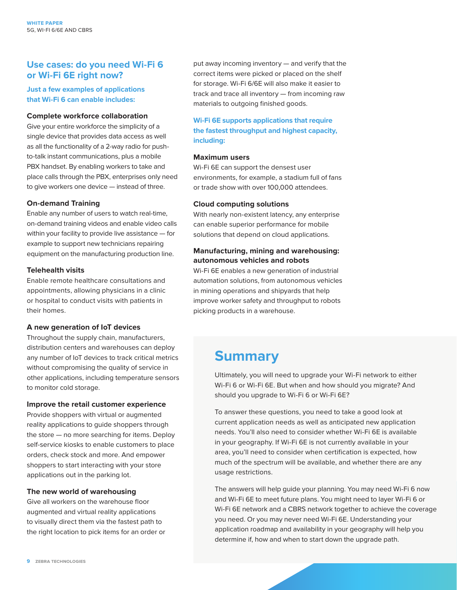#### **Use cases: do you need Wi-Fi 6 or Wi-Fi 6E right now?**

**Just a few examples of applications that Wi-Fi 6 can enable includes:**

#### **Complete workforce collaboration**

Give your entire workforce the simplicity of a single device that provides data access as well as all the functionality of a 2-way radio for pushto-talk instant communications, plus a mobile PBX handset. By enabling workers to take and place calls through the PBX, enterprises only need to give workers one device — instead of three.

#### **On-demand Training**

Enable any number of users to watch real-time, on-demand training videos and enable video calls within your facility to provide live assistance — for example to support new technicians repairing equipment on the manufacturing production line.

#### **Telehealth visits**

Enable remote healthcare consultations and appointments, allowing physicians in a clinic or hospital to conduct visits with patients in their homes.

#### **A new generation of IoT devices**

Throughout the supply chain, manufacturers, distribution centers and warehouses can deploy any number of IoT devices to track critical metrics without compromising the quality of service in other applications, including temperature sensors to monitor cold storage.

#### **Improve the retail customer experience**

Provide shoppers with virtual or augmented reality applications to guide shoppers through the store — no more searching for items. Deploy self-service kiosks to enable customers to place orders, check stock and more. And empower shoppers to start interacting with your store applications out in the parking lot.

#### **The new world of warehousing**

Give all workers on the warehouse floor augmented and virtual reality applications to visually direct them via the fastest path to the right location to pick items for an order or put away incoming inventory — and verify that the correct items were picked or placed on the shelf for storage. Wi-Fi 6/6E will also make it easier to track and trace all inventory — from incoming raw materials to outgoing finished goods.

**Wi-Fi 6E supports applications that require the fastest throughput and highest capacity, including:**

#### **Maximum users**

Wi-Fi 6E can support the densest user environments, for example, a stadium full of fans or trade show with over 100,000 attendees.

#### **Cloud computing solutions**

With nearly non-existent latency, any enterprise can enable superior performance for mobile solutions that depend on cloud applications.

#### **Manufacturing, mining and warehousing: autonomous vehicles and robots**

Wi-Fi 6E enables a new generation of industrial automation solutions, from autonomous vehicles in mining operations and shipyards that help improve worker safety and throughput to robots picking products in a warehouse.

## **Summary**

Ultimately, you will need to upgrade your Wi-Fi network to either Wi-Fi 6 or Wi-Fi 6E. But when and how should you migrate? And should you upgrade to Wi-Fi 6 or Wi-Fi 6E?

To answer these questions, you need to take a good look at current application needs as well as anticipated new application needs. You'll also need to consider whether Wi-Fi 6E is available in your geography. If Wi-Fi 6E is not currently available in your area, you'll need to consider when certification is expected, how much of the spectrum will be available, and whether there are any usage restrictions.

The answers will help guide your planning. You may need Wi-Fi 6 now and Wi-Fi 6E to meet future plans. You might need to layer Wi-Fi 6 or Wi-Fi 6E network and a CBRS network together to achieve the coverage you need. Or you may never need Wi-Fi 6E. Understanding your application roadmap and availability in your geography will help you determine if, how and when to start down the upgrade path.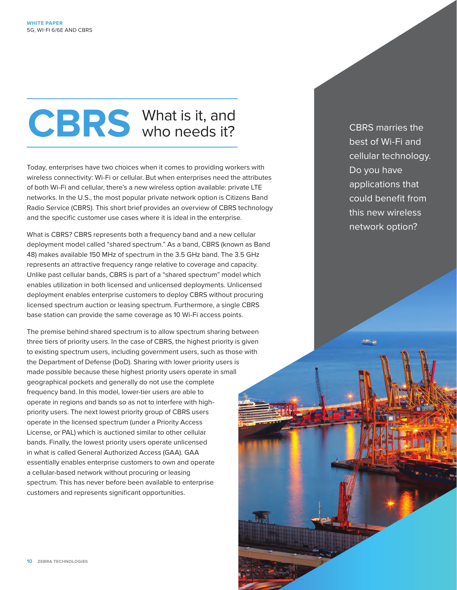# **CBRS** What is it, and who needs it?

Today, enterprises have two choices when it comes to providing workers with wireless connectivity: Wi-Fi or cellular. But when enterprises need the attributes of both Wi-Fi and cellular, there's a new wireless option available: private LTE networks. In the U.S., the most popular private network option is Citizens Band Radio Service (CBRS). This short brief provides an overview of CBRS technology and the specific customer use cases where it is ideal in the enterprise.

What is CBRS? CBRS represents both a frequency band and a new cellular deployment model called "shared spectrum." As a band, CBRS (known as Band 48) makes available 150 MHz of spectrum in the 3.5 GHz band. The 3.5 GHz represents an attractive frequency range relative to coverage and capacity. Unlike past cellular bands, CBRS is part of a "shared spectrum" model which enables utilization in both licensed and unlicensed deployments. Unlicensed deployment enables enterprise customers to deploy CBRS without procuring licensed spectrum auction or leasing spectrum. Furthermore, a single CBRS base station can provide the same coverage as 10 Wi-Fi access points.

The premise behind shared spectrum is to allow spectrum sharing between three tiers of priority users. In the case of CBRS, the highest priority is given to existing spectrum users, including government users, such as those with the Department of Defense (DoD). Sharing with lower priority users is made possible because these highest priority users operate in small geographical pockets and generally do not use the complete frequency band. In this model, lower-tier users are able to operate in regions and bands so as not to interfere with highpriority users. The next lowest priority group of CBRS users operate in the licensed spectrum (under a Priority Access License, or PAL) which is auctioned similar to other cellular bands. Finally, the lowest priority users operate unlicensed in what is called General Authorized Access (GAA). GAA essentially enables enterprise customers to own and operate a cellular-based network without procuring or leasing spectrum. This has never before been available to enterprise customers and represents significant opportunities.

CBRS marries the best of Wi-Fi and cellular technology. Do you have applications that could benefit from this new wireless network option?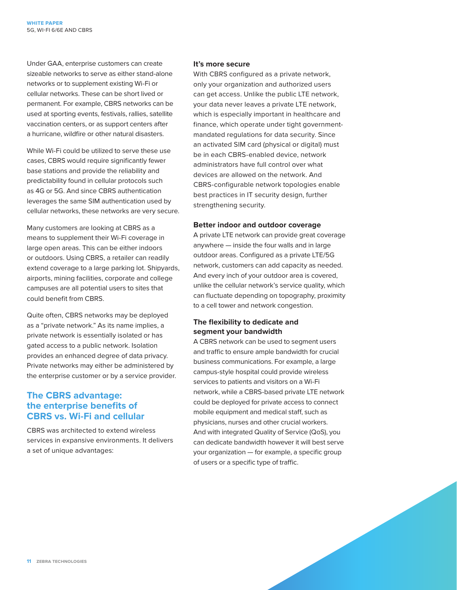Under GAA, enterprise customers can create sizeable networks to serve as either stand-alone networks or to supplement existing Wi-Fi or cellular networks. These can be short lived or permanent. For example, CBRS networks can be used at sporting events, festivals, rallies, satellite vaccination centers, or as support centers after a hurricane, wildfire or other natural disasters.

While Wi-Fi could be utilized to serve these use cases, CBRS would require significantly fewer base stations and provide the reliability and predictability found in cellular protocols such as 4G or 5G. And since CBRS authentication leverages the same SIM authentication used by cellular networks, these networks are very secure.

Many customers are looking at CBRS as a means to supplement their Wi-Fi coverage in large open areas. This can be either indoors or outdoors. Using CBRS, a retailer can readily extend coverage to a large parking lot. Shipyards, airports, mining facilities, corporate and college campuses are all potential users to sites that could benefit from CBRS.

Quite often, CBRS networks may be deployed as a "private network." As its name implies, a private network is essentially isolated or has gated access to a public network. Isolation provides an enhanced degree of data privacy. Private networks may either be administered by the enterprise customer or by a service provider.

#### **The CBRS advantage: the enterprise benefits of CBRS vs. Wi-Fi and cellular**

CBRS was architected to extend wireless services in expansive environments. It delivers a set of unique advantages:

#### **It's more secure**

With CBRS configured as a private network, only your organization and authorized users can get access. Unlike the public LTE network, your data never leaves a private LTE network, which is especially important in healthcare and finance, which operate under tight governmentmandated regulations for data security. Since an activated SIM card (physical or digital) must be in each CBRS-enabled device, network administrators have full control over what devices are allowed on the network. And CBRS-configurable network topologies enable best practices in IT security design, further strengthening security.

#### **Better indoor and outdoor coverage**

A private LTE network can provide great coverage anywhere — inside the four walls and in large outdoor areas. Configured as a private LTE/5G network, customers can add capacity as needed. And every inch of your outdoor area is covered, unlike the cellular network's service quality, which can fluctuate depending on topography, proximity to a cell tower and network congestion.

#### **The flexibility to dedicate and segment your bandwidth**

A CBRS network can be used to segment users and traffic to ensure ample bandwidth for crucial business communications. For example, a large campus-style hospital could provide wireless services to patients and visitors on a Wi-Fi network, while a CBRS-based private LTE network could be deployed for private access to connect mobile equipment and medical staff, such as physicians, nurses and other crucial workers. And with integrated Quality of Service (QoS), you can dedicate bandwidth however it will best serve your organization — for example, a specific group of users or a specific type of traffic.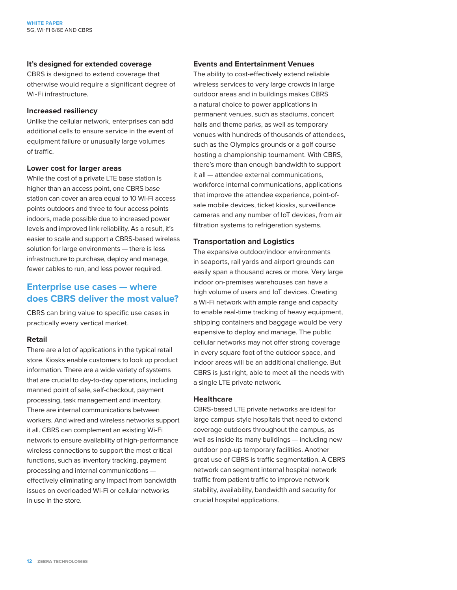#### **It's designed for extended coverage**

CBRS is designed to extend coverage that otherwise would require a significant degree of Wi-Fi infrastructure.

#### **Increased resiliency**

Unlike the cellular network, enterprises can add additional cells to ensure service in the event of equipment failure or unusually large volumes of traffic.

#### **Lower cost for larger areas**

While the cost of a private LTE base station is higher than an access point, one CBRS base station can cover an area equal to 10 Wi-Fi access points outdoors and three to four access points indoors, made possible due to increased power levels and improved link reliability. As a result, it's easier to scale and support a CBRS-based wireless solution for large environments — there is less infrastructure to purchase, deploy and manage, fewer cables to run, and less power required.

#### **Enterprise use cases — where does CBRS deliver the most value?**

CBRS can bring value to specific use cases in practically every vertical market.

#### **Retail**

There are a lot of applications in the typical retail store. Kiosks enable customers to look up product information. There are a wide variety of systems that are crucial to day-to-day operations, including manned point of sale, self-checkout, payment processing, task management and inventory. There are internal communications between workers. And wired and wireless networks support it all. CBRS can complement an existing Wi-Fi network to ensure availability of high-performance wireless connections to support the most critical functions, such as inventory tracking, payment processing and internal communications effectively eliminating any impact from bandwidth issues on overloaded Wi-Fi or cellular networks in use in the store.

#### **Events and Entertainment Venues**

The ability to cost-effectively extend reliable wireless services to very large crowds in large outdoor areas and in buildings makes CBRS a natural choice to power applications in permanent venues, such as stadiums, concert halls and theme parks, as well as temporary venues with hundreds of thousands of attendees, such as the Olympics grounds or a golf course hosting a championship tournament. With CBRS, there's more than enough bandwidth to support it all — attendee external communications, workforce internal communications, applications that improve the attendee experience, point-ofsale mobile devices, ticket kiosks, surveillance cameras and any number of IoT devices, from air filtration systems to refrigeration systems.

#### **Transportation and Logistics**

The expansive outdoor/indoor environments in seaports, rail yards and airport grounds can easily span a thousand acres or more. Very large indoor on-premises warehouses can have a high volume of users and IoT devices. Creating a Wi-Fi network with ample range and capacity to enable real-time tracking of heavy equipment, shipping containers and baggage would be very expensive to deploy and manage. The public cellular networks may not offer strong coverage in every square foot of the outdoor space, and indoor areas will be an additional challenge. But CBRS is just right, able to meet all the needs with a single LTE private network.

#### **Healthcare**

CBRS-based LTE private networks are ideal for large campus-style hospitals that need to extend coverage outdoors throughout the campus, as well as inside its many buildings — including new outdoor pop-up temporary facilities. Another great use of CBRS is traffic segmentation. A CBRS network can segment internal hospital network traffic from patient traffic to improve network stability, availability, bandwidth and security for crucial hospital applications.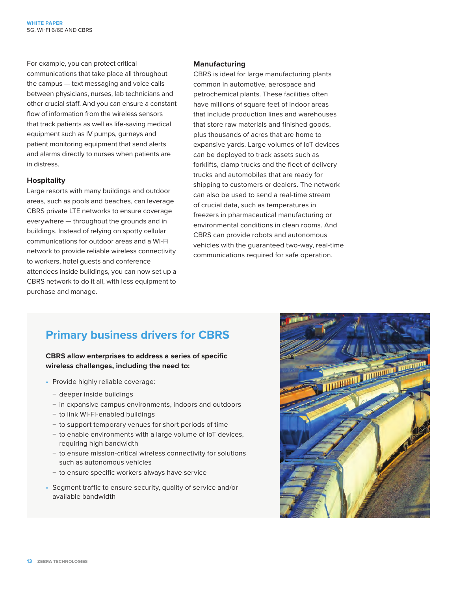For example, you can protect critical communications that take place all throughout the campus — text messaging and voice calls between physicians, nurses, lab technicians and other crucial staff. And you can ensure a constant flow of information from the wireless sensors that track patients as well as life-saving medical equipment such as IV pumps, gurneys and patient monitoring equipment that send alerts and alarms directly to nurses when patients are in distress.

#### **Hospitality**

Large resorts with many buildings and outdoor areas, such as pools and beaches, can leverage CBRS private LTE networks to ensure coverage everywhere — throughout the grounds and in buildings. Instead of relying on spotty cellular communications for outdoor areas and a Wi-Fi network to provide reliable wireless connectivity to workers, hotel guests and conference attendees inside buildings, you can now set up a CBRS network to do it all, with less equipment to purchase and manage.

#### **Manufacturing**

CBRS is ideal for large manufacturing plants common in automotive, aerospace and petrochemical plants. These facilities often have millions of square feet of indoor areas that include production lines and warehouses that store raw materials and finished goods, plus thousands of acres that are home to expansive yards. Large volumes of IoT devices can be deployed to track assets such as forklifts, clamp trucks and the fleet of delivery trucks and automobiles that are ready for shipping to customers or dealers. The network can also be used to send a real-time stream of crucial data, such as temperatures in freezers in pharmaceutical manufacturing or environmental conditions in clean rooms. And CBRS can provide robots and autonomous vehicles with the guaranteed two-way, real-time communications required for safe operation.

### **Primary business drivers for CBRS**

#### **CBRS allow enterprises to address a series of specific wireless challenges, including the need to:**

- Provide highly reliable coverage:
	- − deeper inside buildings
	- − in expansive campus environments, indoors and outdoors
	- − to link Wi-Fi-enabled buildings
	- − to support temporary venues for short periods of time
	- − to enable environments with a large volume of IoT devices, requiring high bandwidth
	- − to ensure mission-critical wireless connectivity for solutions such as autonomous vehicles
	- − to ensure specific workers always have service
- Segment traffic to ensure security, quality of service and/or available bandwidth

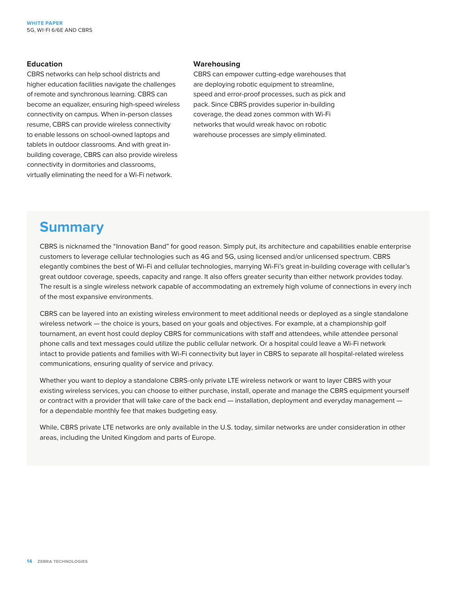#### **Education**

CBRS networks can help school districts and higher education facilities navigate the challenges of remote and synchronous learning. CBRS can become an equalizer, ensuring high-speed wireless connectivity on campus. When in-person classes resume, CBRS can provide wireless connectivity to enable lessons on school-owned laptops and tablets in outdoor classrooms. And with great inbuilding coverage, CBRS can also provide wireless connectivity in dormitories and classrooms, virtually eliminating the need for a Wi-Fi network.

#### **Warehousing**

CBRS can empower cutting-edge warehouses that are deploying robotic equipment to streamline, speed and error-proof processes, such as pick and pack. Since CBRS provides superior in-building coverage, the dead zones common with Wi-Fi networks that would wreak havoc on robotic warehouse processes are simply eliminated.

## **Summary**

CBRS is nicknamed the "Innovation Band" for good reason. Simply put, its architecture and capabilities enable enterprise customers to leverage cellular technologies such as 4G and 5G, using licensed and/or unlicensed spectrum. CBRS elegantly combines the best of Wi-Fi and cellular technologies, marrying Wi-Fi's great in-building coverage with cellular's great outdoor coverage, speeds, capacity and range. It also offers greater security than either network provides today. The result is a single wireless network capable of accommodating an extremely high volume of connections in every inch of the most expansive environments.

CBRS can be layered into an existing wireless environment to meet additional needs or deployed as a single standalone wireless network — the choice is yours, based on your goals and objectives. For example, at a championship golf tournament, an event host could deploy CBRS for communications with staff and attendees, while attendee personal phone calls and text messages could utilize the public cellular network. Or a hospital could leave a Wi-Fi network intact to provide patients and families with Wi-Fi connectivity but layer in CBRS to separate all hospital-related wireless communications, ensuring quality of service and privacy.

Whether you want to deploy a standalone CBRS-only private LTE wireless network or want to layer CBRS with your existing wireless services, you can choose to either purchase, install, operate and manage the CBRS equipment yourself or contract with a provider that will take care of the back end — installation, deployment and everyday management for a dependable monthly fee that makes budgeting easy.

While, CBRS private LTE networks are only available in the U.S. today, similar networks are under consideration in other areas, including the United Kingdom and parts of Europe.